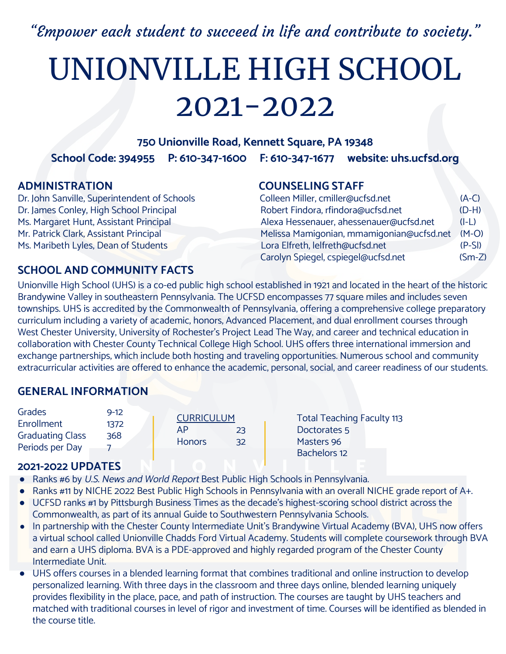"Empower each student to succeed in life and contribute to society."

# UNIONVILLE HIGH SCHOOL 2021-2022

#### **750 Unionville Road, Kennett Square, PA 19348**

**School Code: 394955 P: 610-347-1600 F: 610-347-1677 website: uhs.ucfsd.org** 

Dr. John Sanville, Superintendent of Schools Dr. James Conley, High School Principal Ms. Margaret Hunt, Assistant Principal Mr. Patrick Clark, Assistant Principal Ms. Maribeth Lyles, Dean of Students

#### **ADMINISTRATION COUNSELING STAFF**

| Colleen Miller, cmiller@ucfsd.net         | $(A-C)$  |
|-------------------------------------------|----------|
| Robert Findora, rfindora@ucfsd.net        | $(D-H)$  |
| Alexa Hessenauer, ahessenauer@ucfsd.net   | $(I-L)$  |
| Melissa Mamigonian, mmamigonian@ucfsd.net | $(M-O)$  |
| Lora Elfreth, lelfreth@ucfsd.net          | $(P-SI)$ |
| Carolyn Spiegel, cspiegel@ucfsd.net       | $(Sm-Z)$ |

### **SCHOOL AND COMMUNITY FACTS**

Unionville High School (UHS) is a co-ed public high school established in 1921 and located in the heart of the historic Brandywine Valley in southeastern Pennsylvania. The UCFSD encompasses 77 square miles and includes seven townships. UHS is accredited by the Commonwealth of Pennsylvania, offering a comprehensive college preparatory curriculum including a variety of academic, honors, Advanced Placement, and dual enrollment courses through West Chester University, University of Rochester's Project Lead The Way, and career and technical education in collaboration with Chester County Technical College High School. UHS offers three international immersion and exchange partnerships, which include both hosting and traveling opportunities. Numerous school and community extracurricular activities are offered to enhance the academic, personal, social, and career readiness of our students.

### **GENERAL INFORMATION**

| Grades                  | $9 - 12$ | <b>CURRICULUM</b>   | <b>Total Teaching Faculty 113</b> |
|-------------------------|----------|---------------------|-----------------------------------|
| Enrollment              | 1372     | <b>AP</b>           |                                   |
| <b>Graduating Class</b> | 368      | 23                  | Doctorates 5                      |
| Periods per Day         |          | <b>Honors</b><br>32 | Masters 96                        |
|                         |          |                     | <b>Bachelors 12</b>               |

#### **2021-2022 UPDATES**

- Ranks #6 by U.S. News and World Report Best Public High Schools in Pennsylvania.
- Ranks #11 by NICHE 2022 Best Public High Schools in Pennsylvania with an overall NICHE grade report of A+.
- UCFSD ranks #1 by Pittsburgh Business Times as the decade's highest-scoring school district across the Commonwealth, as part of its annual Guide to Southwestern Pennsylvania Schools.
- In partnership with the Chester County Intermediate Unit's Brandywine Virtual Academy (BVA), UHS now offers a virtual school called Unionville Chadds Ford Virtual Academy. Students will complete coursework through BVA and earn a UHS diploma. BVA is a PDE-approved and highly regarded program of the Chester County Intermediate Unit.
- UHS offers courses in a blended learning format that combines traditional and online instruction to develop personalized learning. With three days in the classroom and three days online, blended learning uniquely provides flexibility in the place, pace, and path of instruction. The courses are taught by UHS teachers and matched with traditional courses in level of rigor and investment of time. Courses will be identified as blended in the course title.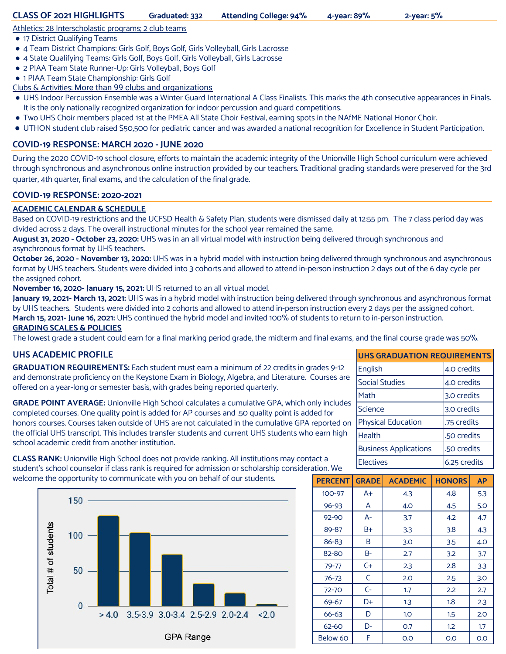#### Athletics: 28 Interscholastic programs; 2 club teams

- 17 District Qualifying Teams
- 4 Team District Champions: Girls Golf, Boys Golf, Girls Volleyball, Girls Lacrosse
- 4 State Qualifying Teams: Girls Golf, Boys Golf, Girls Volleyball, Girls Lacrosse
- 2 PIAA Team State Runner-Up: Girls Volleyball, Boys Golf
- 1 PIAA Team State Championship: Girls Golf

Clubs & Activities: More than 99 clubs and organizations

- **●** UHS Indoor Percussion Ensemble was a Winter Guard International A Class Finalists. This marks the 4th consecutive appearances in Finals. It is the only nationally recognized organization for indoor percussion and quard competitions.
- **●** Two UHS Choir members placed 1st at the PMEA All State Choir Festival, earning spots in the NAfME National Honor Choir.
- UTHON student club raised \$50,500 for pediatric cancer and was awarded a national recognition for Excellence in Student Participation.

#### **COVID-19 RESPONSE: MARCH 2020 - JUNE 2020**

During the 2020 COVID-19 school closure, efforts to maintain the academic integrity of the Unionville High School curriculum were achieved through synchronous and asynchronous online instruction provided by our teachers. Traditional grading standards were preserved for the 3rd quarter, 4th quarter, final exams, and the calculation of the final grade.

#### **COVID-19 RESPONSE: 2020-2021**

#### **ACADEMIC CALENDAR & SCHEDULE**

Based on COVID-19 restrictions and the UCFSD Health & Safety Plan, students were dismissed daily at 12:55 pm. The 7 class period day was divided across 2 days. The overall instructional minutes for the school year remained the same.

**August 31, 2020 - October 23, 2020:** UHS was in an all virtual model with instruction being delivered through synchronous and asynchronous format by UHS teachers.

**October 26, 2020 - November 13, 2020:** UHS was in a hybrid model with instruction being delivered through synchronous and asynchronous format by UHS teachers. Students were divided into 3 cohorts and allowed to attend in-person instruction 2 days out of the 6 day cycle per the assigned cohort.

**November 16, 2020- January 15, 2021:** UHS returned to an all virtual model.

**January 19, 2021- March 13, 2021:** UHS was in a hybrid model with instruction being delivered through synchronous and asynchronous format by UHS teachers. Students were divided into 2 cohorts and allowed to attend in-person instruction every 2 days per the assigned cohort. **March 15, 2021- June 16, 2021:** UHS continued the hybrid model and invited 100% of students to return to in-person instruction. **GRADING SCALES & POLICIES**

The lowest grade a student could earn for a final marking period grade, the midterm and final exams, and the final course grade was 50%.

#### **UHS ACADEMIC PROFILE**

**GRADUATION REQUIREMENTS:** Each student must earn a minimum of 22 credits in grades 9-12 and demonstrate proficiency on the Keystone Exam in Biology, Algebra, and Literature. Courses are offered on a year-long or semester basis, with grades being reported quarterly.

**GRADE POINT AVERAGE:** Unionville High School calculates a cumulative GPA, which only includes completed courses. One quality point is added for AP courses and .50 quality point is added for honors courses. Courses taken outside of UHS are not calculated in the cumulative GPA reported on the official UHS transcript. This includes transfer students and current UHS students who earn high school academic credit from another institution.

| <b>UHS GRADUATION REQUIREMENTS</b> |              |  |  |
|------------------------------------|--------------|--|--|
| English                            | 4.0 credits  |  |  |
| <b>Social Studies</b>              | 4.0 credits  |  |  |
| Math                               | 3.0 credits  |  |  |
| Science                            | 3.0 credits  |  |  |
| <b>Physical Education</b>          | .75 credits  |  |  |
| Health                             | .50 credits  |  |  |
| <b>Business Applications</b>       | .50 credits  |  |  |
| <b>Electives</b>                   | 6.25 credits |  |  |
|                                    |              |  |  |

**CLASS RANK:** Unionville High School does not provide ranking. All institutions may contact a student's school counselor if class rank is required for admission or scholarship consideration. We welcome the opportunity to communicate with you on behalf of our students.



| <b>PERCENT</b> | <b>GRADE</b> | <b>ACADEMIC</b> | <b>HONORS</b> | <b>AP</b> |
|----------------|--------------|-----------------|---------------|-----------|
| $100 - 97$     | A+           | 4.3             | 4.8           | 5.3       |
| $96 - 93$      | A            | 4.0             | 4.5           | 5.0       |
| 92-90          | A-           | 3.7             | 4.2           | 4.7       |
| 89-87          | B+           | 3.3             | 3.8           | 4.3       |
| 86-83          | B            | 3.0             | 3.5           | 4.O       |
| 82-80          | B-           | 2.7             | 3.2           | 3.7       |
| $79 - 77$      | C+           | 2.3             | 2.8           | 3.3       |
| 76-73          | C            | 2.0             | 2.5           | 3.0       |
| 72-70          | $C-$         | 1.7             | 2.2           | 2.7       |
| 69-67          | D+           | 1.3             | 1.8           | 2.3       |
| $66 - 63$      | D            | 1.0             | 1.5           | 2.0       |
| 62-60          | D-           | O.7             | 1.2           | 1.7       |
| Below 60       | F            | O.O             | 0.0           | 0.0       |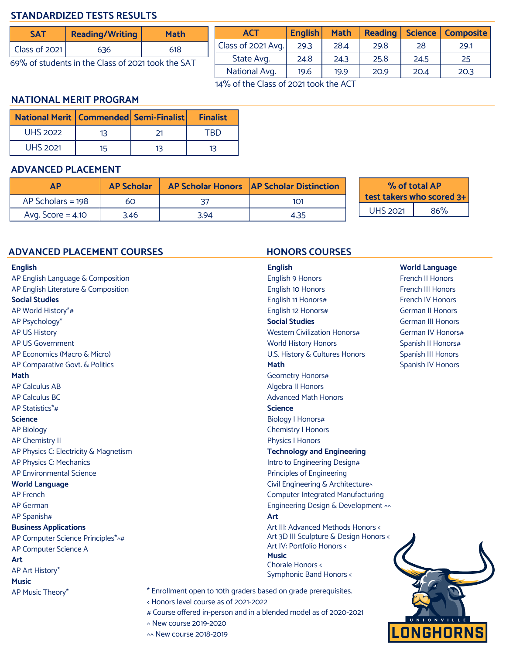#### **STANDARDIZED TESTS RESULTS**

| SAT                                               | <b>Reading/Writing</b> | <b>Math</b> |  |
|---------------------------------------------------|------------------------|-------------|--|
| $\vert$ Class of 2021                             | 636                    | 618         |  |
| 69% of students in the Class of 2021 took the SAT |                        |             |  |

**ACT English Math Reading Science Composite** Class of 2021 Avg. | 29.3 | 28.4 | 29.8 | 28 | 29.1 State Avg. | 24.8 | 24.3 | 25.8 | 24.5 | 25 National Avg. | 19.6 | 19.9 | 20.9 | 20.4 | 20.3

14% of the Class of 2021 took the ACT

#### **NATIONAL MERIT PROGRAM**

| <b>National Merit   Commended   Semi-Finalist  </b> |    |    | <b>Finalist</b> |
|-----------------------------------------------------|----|----|-----------------|
| <b>UHS 2022</b>                                     | 13 |    | TRD             |
| <b>UHS 2021</b>                                     | 15 | 13 | 13              |

#### **ADVANCED PLACEMENT**

|                     | <b>AP Scholar</b> |      | AP Scholar Honors   AP Scholar Distinction |  | % of total AP<br>test takers who scored 3+ |     |
|---------------------|-------------------|------|--------------------------------------------|--|--------------------------------------------|-----|
| $AP$ Scholars = 198 | 60                |      | 101                                        |  |                                            |     |
| Avg. Score $=$ 4.10 | 3.46              | 3.94 | 4.35                                       |  | <b>UHS 2021</b>                            | 86% |

#### **ADVANCED PLACEMENT COURSES HONORS COURSES**

#### **English**

| AP English Language & Composition     |                                         |
|---------------------------------------|-----------------------------------------|
| AP English Literature & Composition   |                                         |
| <b>Social Studies</b>                 |                                         |
| AP World History*#                    |                                         |
| AP Psychology*                        |                                         |
| <b>AP US History</b>                  |                                         |
| <b>AP US Government</b>               |                                         |
| AP Economics (Macro & Micro)          |                                         |
| AP Comparative Govt. & Politics       |                                         |
| Math                                  |                                         |
| <b>AP Calculus AB</b>                 |                                         |
| <b>AP Calculus BC</b>                 |                                         |
| AP Statistics*#                       |                                         |
| <b>Science</b>                        |                                         |
| <b>AP Biology</b>                     |                                         |
| <b>AP Chemistry II</b>                |                                         |
| AP Physics C: Electricity & Magnetism |                                         |
| AP Physics C: Mechanics               |                                         |
| <b>AP Environmental Science</b>       |                                         |
| <b>World Language</b>                 |                                         |
| <b>AP French</b>                      |                                         |
| <b>AP German</b>                      |                                         |
| AP Spanish#                           |                                         |
| <b>Business Applications</b>          |                                         |
| AP Computer Science Principles*^#     |                                         |
| AP Computer Science A                 |                                         |
| Art                                   |                                         |
| AP Art History*                       |                                         |
| <b>Music</b>                          |                                         |
| AP Music Theory*                      | * Enrollment                            |
|                                       | < Honors leve<br>$\alpha$ Carriera alle |
|                                       |                                         |

**English** English 9 Honors English 10 Honors English 11 Honors# English 12 Honors# **Social Studies** Western Civilization Honors# World History Honors U.S. History & Cultures Honors **Math** Geometry Honors# Algebra II Honors Advanced Math Honors **Science** Biology I Honors# Chemistry I Honors Physics I Honors **Technology and Engineering** Intro to Engineering Design# Principles of Engineering Civil Engineering & Architecture^ Computer Integrated Manufacturing Engineering Design & Development ^^ **Art** Art III: Advanced Methods Honors < Art 3D III Sculpture & Design Honors < Art IV: Portfolio Honors < **Music** Chorale Honors < Symphonic Band Honors <

open to 10th graders based on grade prerequisites.

- el course as of 2021-2022
- # Course offered in-person and in a blended model as of 2020-2021

^ New course 2019-2020

^^ New course 2018-2019



**World Language**  French II Honors French III Honors French IV Honors German II Honors German III Honors German IV Honors# Spanish II Honors# Spanish III Honors Spanish IV Honors